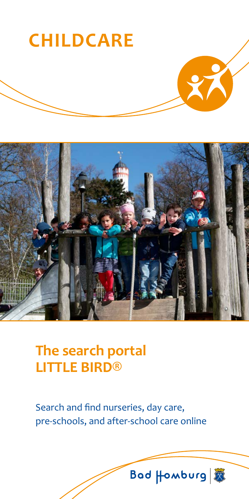



## **The search portal LITTLE BIRD®**

Search and find nurseries, day care, pre-schools, and after-school care online

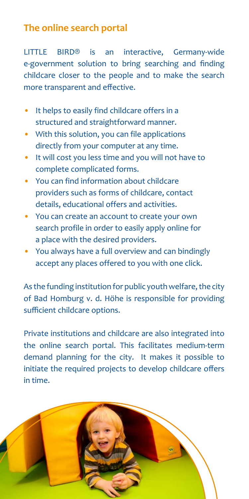### **The online search portal**

LITTLE BIRD® is an interactive, Germany-wide e-government solution to bring searching and finding childcare closer to the people and to make the search more transparent and effective.

- It helps to easily find childcare offers in a structured and straightforward manner.
- With this solution, you can file applications directly from your computer at any time.
- It will cost you less time and you will not have to complete complicated forms.
- You can find information about childcare providers such as forms of childcare, contact details, educational offers and activities.
- You can create an account to create your own search profile in order to easily apply online for a place with the desired providers.
- You always have a full overview and can bindingly accept any places offered to you with one click.

As the funding institution for public youth welfare, the city of Bad Homburg v. d. Höhe is responsible for providing sufficient childcare options.

Private institutions and childcare are also integrated into the online search portal. This facilitates medium-term demand planning for the city. It makes it possible to initiate the required projects to develop childcare offers in time.

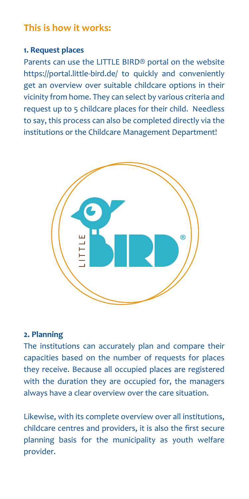### **This is how it works:**

### **1. Request places**

Parents can use the LITTLE BIRD® portal on the website https://portal.little-bird.de/ to quickly and conveniently get an overview over suitable childcare options in their vicinity from home. They can select by various criteria and request up to 5 childcare places for their child. Needless to say, this process can also be completed directly via the institutions or the Childcare Management Department!



### **2. Planning**

The institutions can accurately plan and compare their capacities based on the number of requests for places they receive. Because all occupied places are registered with the duration they are occupied for, the managers always have a clear overview over the care situation.

Likewise, with its complete overview over all institutions, childcare centres and providers, it is also the first secure planning basis for the municipality as youth welfare provider.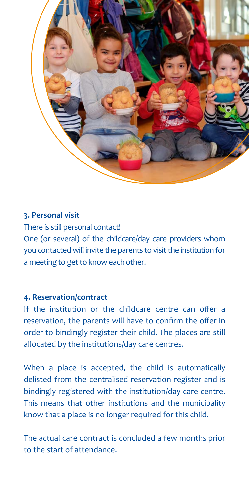

### **3. Personal visit**

There is still personal contact!

One (or several) of the childcare/day care providers whom you contacted will invite the parents to visit the institution for a meeting to get to know each other.

### **4. Reservation/contract**

If the institution or the childcare centre can offer a reservation, the parents will have to confirm the offer in order to bindingly register their child. The places are still allocated by the institutions/day care centres.

When a place is accepted, the child is automatically delisted from the centralised reservation register and is bindingly registered with the institution/day care centre. This means that other institutions and the municipality know that a place is no longer required for this child.

The actual care contract is concluded a few months prior to the start of attendance.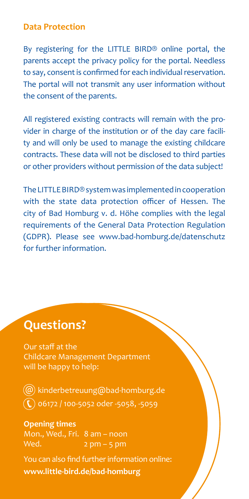### **Data Protection**

By registering for the LITTLE BIRD® online portal, the parents accept the privacy policy for the portal. Needless to say, consent is confirmed for each individual reservation. The portal will not transmit any user information without the consent of the parents.

All registered existing contracts will remain with the provider in charge of the institution or of the day care facility and will only be used to manage the existing childcare contracts. These data will not be disclosed to third parties or other providers without permission of the data subject!

The LITTLE BIRD® system was implemented in cooperation with the state data protection officer of Hessen. The city of Bad Homburg v. d. Höhe complies with the legal requirements of the General Data Protection Regulation (GDPR). Please see www.bad-homburg.de/datenschutz for further information.

### **Questions?**

Our staff at the Childcare Management Department will be happy to help:

 $(\textcircled{a})$  kinderbetreuung $\textcircled{a}$ bad-homburg.de  $\mathbb{\mathbb{C}}$  06172 / 100-5052 oder -5058, -5059

**Opening times** Mon., Wed., Fri. 8 am – noon Wed.  $2 \text{ pm} - 5 \text{ pm}$ 

You can also find further information online: **www.little-bird.de/bad-homburg**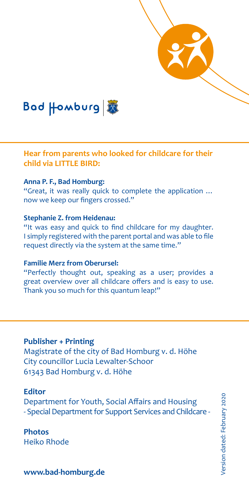

**Hear from parents who looked for childcare for their child via LITTLE BIRD:**

#### **Anna P. F., Bad Homburg:**

"Great, it was really quick to complete the application … now we keep our fingers crossed."

#### **Stephanie Z. from Heidenau:**

"It was easy and quick to find childcare for my daughter. I simply registered with the parent portal and was able to file request directly via the system at the same time."

### **Familie Merz from Oberursel:**

"Perfectly thought out, speaking as a user; provides a great overview over all childcare offers and is easy to use. Thank you so much for this quantum leap!"

### **Publisher + Printing**

Magistrate of the city of Bad Homburg v. d. Höhe City councillor Lucia Lewalter-Schoor 61343 Bad Homburg v. d. Höhe

#### **Editor**

Department for Youth, Social Affairs and Housing - Special Department for Support Services and Childcare -

**Photos** Heiko Rhode

**www.bad-homburg.de**

/ersion dated: February 2020 Version dated: February 2020